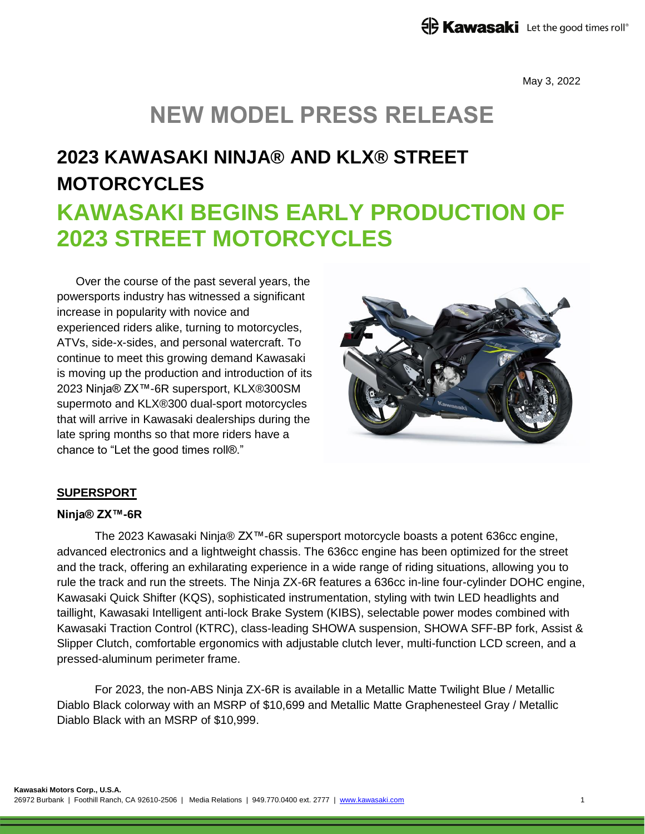May 3, 2022

## **NEW MODEL PRESS RELEASE**

# **2023 KAWASAKI NINJA® AND KLX® STREET MOTORCYCLES KAWASAKI BEGINS EARLY PRODUCTION OF 2023 STREET MOTORCYCLES**

Over the course of the past several years, the powersports industry has witnessed a significant increase in popularity with novice and experienced riders alike, turning to motorcycles, ATVs, side-x-sides, and personal watercraft. To continue to meet this growing demand Kawasaki is moving up the production and introduction of its 2023 Ninja® ZX™-6R supersport, KLX®300SM supermoto and KLX®300 dual-sport motorcycles that will arrive in Kawasaki dealerships during the late spring months so that more riders have a chance to "Let the good times roll®."



## **SUPERSPORT**

### **Ninja® ZX™-6R**

The 2023 Kawasaki Ninja® ZX™-6R supersport motorcycle boasts a potent 636cc engine, advanced electronics and a lightweight chassis. The 636cc engine has been optimized for the street and the track, offering an exhilarating experience in a wide range of riding situations, allowing you to rule the track and run the streets. The Ninja ZX-6R features a 636cc in-line four-cylinder DOHC engine, Kawasaki Quick Shifter (KQS), sophisticated instrumentation, styling with twin LED headlights and taillight, Kawasaki Intelligent anti-lock Brake System (KIBS), selectable power modes combined with Kawasaki Traction Control (KTRC), class-leading SHOWA suspension, SHOWA SFF-BP fork, Assist & Slipper Clutch, comfortable ergonomics with adjustable clutch lever, multi-function LCD screen, and a pressed-aluminum perimeter frame.

For 2023, the non-ABS Ninja ZX-6R is available in a Metallic Matte Twilight Blue / Metallic Diablo Black colorway with an MSRP of \$10,699 and Metallic Matte Graphenesteel Gray / Metallic Diablo Black with an MSRP of \$10,999.